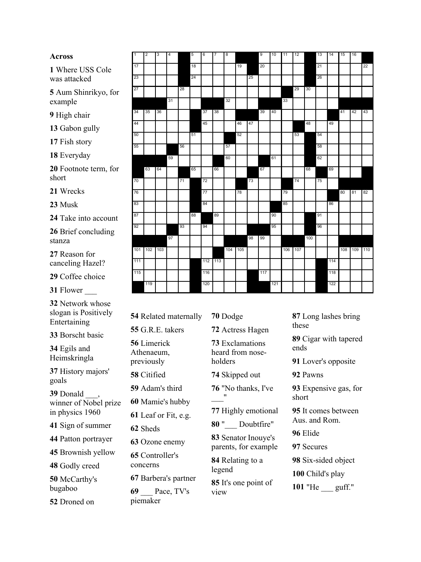## **Across**

Where USS Cole was attacked

Aum Shinrikyo, for example

High chair

- Gabon gully
- Fish story
- Everyday

Footnote term, for short

Wrecks

Musk

Take into account

Brief concluding stanza

Reason for canceling Hazel?

Coffee choice

Flower \_\_\_

Network whose slogan is Positively Entertaining

Borscht basic

Egils and Heimskringla

History majors' goals

Donald \_\_\_, winner of Nobel prize in physics 1960

Sign of summer

Patton portrayer

Brownish yellow

Godly creed

McCarthy's bugaboo

Droned on

| $\overline{1}$ | $\overline{2}$ | 3   | $\overline{4}$ |    | 5  | $6\overline{6}$ | $\overline{7}$ | 8       |    |    | 9   | 10  | 11 | 12      |     | 13 | 14  | 15 | 16      |     |
|----------------|----------------|-----|----------------|----|----|-----------------|----------------|---------|----|----|-----|-----|----|---------|-----|----|-----|----|---------|-----|
| 17             |                |     |                |    | 18 |                 |                |         | 19 |    | 20  |     |    |         |     | 21 |     |    |         | 22  |
| 23             |                |     |                |    | 24 |                 |                |         |    | 25 |     |     |    |         |     | 26 |     |    |         |     |
|                |                |     |                |    |    |                 |                |         |    |    |     |     |    |         |     |    |     |    |         |     |
| 27             |                |     |                | 28 |    |                 |                |         |    |    |     |     |    | 29      | 30  |    |     |    |         |     |
|                |                |     | 31             |    |    |                 |                | 32      |    |    |     |     | 33 |         |     |    |     |    |         |     |
| 34             | 35             | 36  |                |    |    | 37              | 38             |         |    |    | 39  | 40  |    |         |     |    |     | 41 | 42      | 43  |
| 44             |                |     |                |    |    | 45              |                |         | 46 | 47 |     |     |    |         | 48  |    | 49  |    |         |     |
| 50             |                |     |                |    | 51 |                 |                |         | 52 |    |     |     |    | 53      |     | 54 |     |    |         |     |
| 55             |                |     |                | 56 |    |                 |                | 57      |    |    |     |     |    |         |     | 58 |     |    |         |     |
|                |                |     | 59             |    |    |                 |                | 60      |    |    |     | 61  |    |         |     | 62 |     |    |         |     |
|                | 63             | 64  |                |    | 65 |                 | 66             |         |    |    | 67  |     |    |         | 68  |    | 69  |    |         |     |
| 70             |                |     |                | 71 |    | 72              |                |         |    | 73 |     |     |    | 74      |     | 75 |     |    |         |     |
| 76             |                |     |                |    |    | 77              |                |         | 78 |    |     |     | 79 |         |     |    |     | 80 | 81      | 82  |
| 83             |                |     |                |    |    | 84              |                |         |    |    |     |     | 85 |         |     |    | 86  |    |         |     |
| 87             |                |     |                |    | 88 |                 | 89             |         |    |    |     | 90  |    |         |     | 91 |     |    |         |     |
| 92             |                |     |                | 93 |    | 94              |                |         |    |    |     | 95  |    |         |     | 96 |     |    |         |     |
|                |                |     | 97             |    |    |                 |                |         |    | 98 | 99  |     |    |         | 100 |    |     |    |         |     |
|                | 101 102        | 103 |                |    |    |                 |                | 104 105 |    |    |     |     |    | 106 107 |     |    |     |    | 108 109 | 110 |
| 111            |                |     |                |    |    |                 | 112 113        |         |    |    |     |     |    |         |     |    | 114 |    |         |     |
| 115            |                |     |                |    |    | 116             |                |         |    |    | 117 |     |    |         |     |    | 118 |    |         |     |
|                | 119            |     |                |    |    | 120             |                |         |    |    |     | 121 |    |         |     |    | 122 |    |         |     |

Related maternally G.R.E. takers Limerick Athenaeum, previously Citified Adam's third Mamie's hubby Leaf or Fit, e.g. Sheds Ozone enemy Controller's concerns Barbera's partner \_\_\_ Pace, TV's

piemaker

Dodge Actress Hagen Exclamations heard from nose holders Skipped out "No thanks, I've  $\frac{1}{2}$ Highly emotional "\_\_\_ Doubtfire" Senator Inouye's parents, for example Relating to a legend

It's one point of view

Long lashes bring these Cigar with tapered ends Lover's opposite Pawns Expensive gas, for short It comes between Aus. and Rom. Elide Secures Six-sided object Child's play "He \_\_\_ guff."